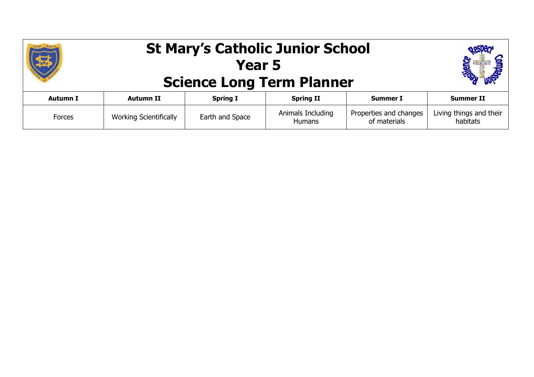|                 | <b>St Mary's Catholic Junior School</b><br><b>Science Long Term Planner</b> |                 |                                    |                                        |                                     |
|-----------------|-----------------------------------------------------------------------------|-----------------|------------------------------------|----------------------------------------|-------------------------------------|
| <b>Autumn I</b> | <b>Autumn II</b>                                                            | <b>Spring I</b> | <b>Spring II</b>                   | <b>Summer I</b>                        | <b>Summer II</b>                    |
| Forces          | <b>Working Scientifically</b>                                               | Earth and Space | Animals Including<br><b>Humans</b> | Properties and changes<br>of materials | Living things and their<br>habitats |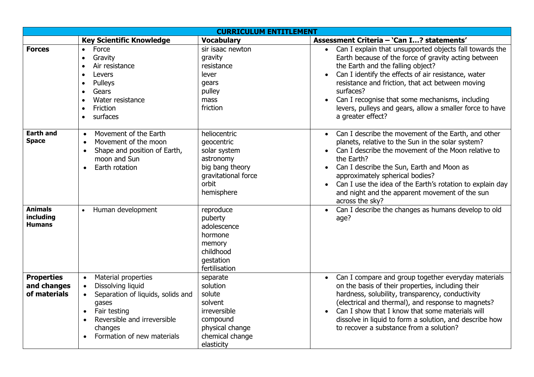| <b>CURRICULUM ENTITLEMENT</b>                    |                                                                                                                                                                                                                                                 |                                                                                                                           |                                                                                                                                                                                                                                                                                                                                                                                                                               |  |  |  |
|--------------------------------------------------|-------------------------------------------------------------------------------------------------------------------------------------------------------------------------------------------------------------------------------------------------|---------------------------------------------------------------------------------------------------------------------------|-------------------------------------------------------------------------------------------------------------------------------------------------------------------------------------------------------------------------------------------------------------------------------------------------------------------------------------------------------------------------------------------------------------------------------|--|--|--|
|                                                  | <b>Key Scientific Knowledge</b>                                                                                                                                                                                                                 | <b>Vocabulary</b>                                                                                                         | Assessment Criteria - 'Can I? statements'                                                                                                                                                                                                                                                                                                                                                                                     |  |  |  |
| <b>Forces</b>                                    | Force<br>$\bullet$<br>Gravity<br>$\bullet$<br>Air resistance<br>$\bullet$<br>Levers<br>$\bullet$<br>Pulleys<br>$\bullet$<br>Gears<br>$\bullet$<br>Water resistance<br>$\bullet$<br>Friction<br>$\bullet$<br>surfaces<br>$\bullet$               | sir isaac newton<br>gravity<br>resistance<br>lever<br>gears<br>pulley<br>mass<br>friction                                 | Can I explain that unsupported objects fall towards the<br>Earth because of the force of gravity acting between<br>the Earth and the falling object?<br>Can I identify the effects of air resistance, water<br>$\bullet$<br>resistance and friction, that act between moving<br>surfaces?<br>Can I recognise that some mechanisms, including<br>levers, pulleys and gears, allow a smaller force to have<br>a greater effect? |  |  |  |
| Earth and<br><b>Space</b>                        | Movement of the Earth<br>$\bullet$<br>Movement of the moon<br>$\bullet$<br>Shape and position of Earth,<br>$\bullet$<br>moon and Sun<br>Earth rotation<br>$\bullet$                                                                             | heliocentric<br>qeocentric<br>solar system<br>astronomy<br>big bang theory<br>gravitational force<br>orbit<br>hemisphere  | Can I describe the movement of the Earth, and other<br>planets, relative to the Sun in the solar system?<br>Can I describe the movement of the Moon relative to<br>the Earth?<br>Can I describe the Sun, Earth and Moon as<br>$\bullet$<br>approximately spherical bodies?<br>Can I use the idea of the Earth's rotation to explain day<br>$\bullet$<br>and night and the apparent movement of the sun<br>across the sky?     |  |  |  |
| <b>Animals</b><br>including<br><b>Humans</b>     | Human development<br>$\bullet$                                                                                                                                                                                                                  | reproduce<br>puberty<br>adolescence<br>hormone<br>memory<br>childhood<br>gestation<br>fertilisation                       | Can I describe the changes as humans develop to old<br>age?                                                                                                                                                                                                                                                                                                                                                                   |  |  |  |
| <b>Properties</b><br>and changes<br>of materials | Material properties<br>$\bullet$<br>Dissolving liquid<br>$\bullet$<br>Separation of liquids, solids and<br>$\bullet$<br>gases<br>Fair testing<br>$\bullet$<br>Reversible and irreversible<br>$\bullet$<br>changes<br>Formation of new materials | separate<br>solution<br>solute<br>solvent<br>irreversible<br>compound<br>physical change<br>chemical change<br>elasticity | Can I compare and group together everyday materials<br>on the basis of their properties, including their<br>hardness, solubility, transparency, conductivity<br>(electrical and thermal), and response to magnets?<br>Can I show that I know that some materials will<br>dissolve in liquid to form a solution, and describe how<br>to recover a substance from a solution?                                                   |  |  |  |